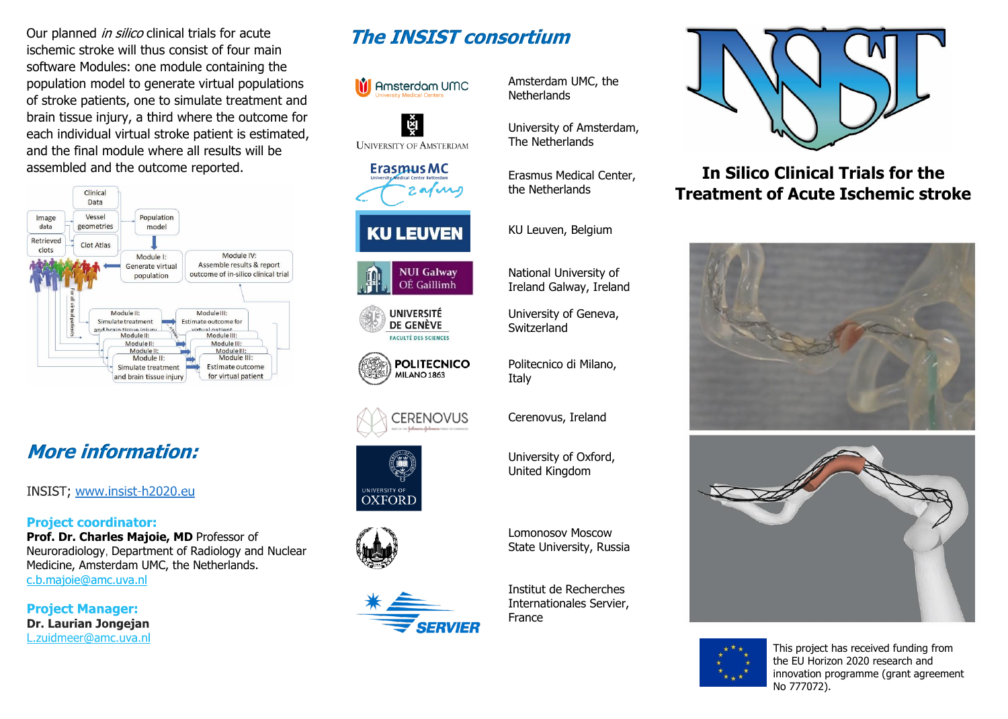Our planned *in silico* clinical trials for acute ischemic stroke will thus consist of four main software Modules: one module containing the population model to generate virtual populations of stroke patients, one to simulate treatment and brain tissue injury, a third where the outcome for each individual virtual stroke patient is estimated, and the final module where all results will be assembled and the outcome reported.



# **More information:**

INSIST; www.insist-h2020.eu

#### **Project coordinator:**

**Prof. Dr. Charles Majoie, MD** Professor of Neuroradiology, Department of Radiology and Nuclear Medicine, Amsterdam UMC, the Netherlands. [c.b.majoie@amc.uva.nl](mailto:c.b.majoie@amc.uva.nl)

**Project Manager: Dr. Laurian Jongejan** L.zuidmeer@amc.uva.nl

## **The INSIST consortium**



Amsterdam UMC, the **Netherlands** 

University of Amsterdam, The Netherlands

Erasmus Medical Center, the Netherlands

KU Leuven, Belgium

National University of Ireland Galway, Ireland

University of Geneva, **Switzerland** 

Politecnico di Milano, Italy

Cerenovus, Ireland

University of Oxford, United Kingdom

Lomonosov Moscow State University, Russia

Institut de Recherches Internationales Servier, France



**In Silico Clinical Trials for the Treatment of Acute Ischemic stroke**







This project has received funding from the EU Horizon 2020 research and innovation programme (grant agreement No 777072).